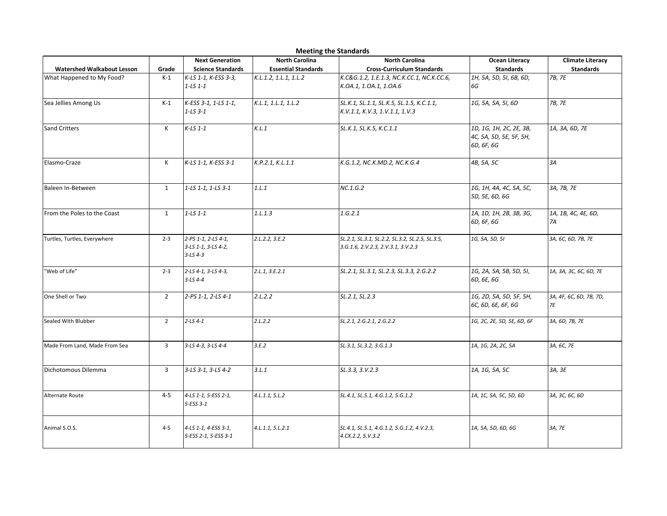|                                   | <b>Meeting the Standards</b> |                                                              |                                                     |                                                                                       |                                                                  |                                             |  |  |  |
|-----------------------------------|------------------------------|--------------------------------------------------------------|-----------------------------------------------------|---------------------------------------------------------------------------------------|------------------------------------------------------------------|---------------------------------------------|--|--|--|
| <b>Watershed Walkabout Lesson</b> | Grade                        | <b>Next Generation</b><br><b>Science Standards</b>           | <b>North Carolina</b><br><b>Essential Standards</b> | <b>North Carolina</b><br><b>Cross-Curriculum Standards</b>                            | <b>Ocean Literacy</b><br><b>Standards</b>                        | <b>Climate Literacy</b><br><b>Standards</b> |  |  |  |
| What Happened to My Food?         | $K-1$                        | K-LS 1-1, K-ESS 3-3,<br>$1 - LS$ 1-1                         | K.L.1.2, 1.L.1, 1.L.2                               | K.C&G.1.2, 1.E.1.3, NC.K.CC.1, NC.K.CC.6,<br>K.OA.1, 1.OA.1, 1.OA.6                   | 1H, 5A, 5D, 5I, 6B, 6D,<br>6G                                    | 7B, 7E                                      |  |  |  |
| Sea Jellies Among Us              | $K-1$                        | K-ESS 3-1, 1-LS 1-1,<br>$1 - LS 3 - 1$                       | K.L.1, 1.L.1, 1.L.2                                 | SL.K.1, SL.1.1, SL.K.5, SL.1.5, K.C.1.1,<br>K.V.1.1, K.V.3, 1.V.1.1, 1.V.3            | 1G, 5A, 5A, 5I, 6D                                               | 7B, 7E                                      |  |  |  |
| <b>Sand Critters</b>              | Κ                            | $K-LS$ 1-1                                                   | K.L.1                                               | SL.K.1, SL.K.5, K.C.1.1                                                               | 1D, 1G, 1H, 2C, 2E, 3B,<br>4C, 5A, 5D, 5E, 5F, 5H,<br>6D, 6F, 6G | 1A, 3A, 6D, 7E                              |  |  |  |
| Elasmo-Craze                      | Κ                            | K-LS 1-1, K-ESS 3-1                                          | K.P.2.1, K.L.1.1                                    | K.G.1.2, NC.K.MD.2, NC.K.G.4                                                          | 4B, 5A, 5C                                                       | 3A                                          |  |  |  |
| Baleen In-Between                 | $\mathbf{1}$                 | 1-LS 1-1, 1-LS 3-1                                           | 1.L.1                                               | NC.1.G.2                                                                              | 1G, 1H, 4A, 4C, 5A, 5C,<br>5D, 5E, 6D, 6G                        | 3A, 7B, 7E                                  |  |  |  |
| From the Poles to the Coast       | $\mathbf{1}$                 | $1 - LS$ $1 - 1$                                             | 1.1.1.3                                             | 1.G.2.1                                                                               | 1A, 1D, 1H, 2B, 3B, 3G,<br>6D, 6F, 6G                            | 1A, 1B, 4C, 4E, 6D,<br>7A                   |  |  |  |
| Turtles, Turtles, Everywhere      | $2 - 3$                      | 2-PS 1-1, 2-LS 4-1,<br>3-LS 1-1, 3-LS 4-2,<br>$3 - LS 4 - 3$ | 2.1.2.2, 3.5.2                                      | SL.2.1, SL.3.1, SL.2.2, SL.3.2, SL.2.5, SL.3.5,<br>3.G.1.6, 2.V.2.3, 2.V.3.1, 3.V.2.3 | 1G, 5A, 5D, 5I                                                   | 3A, 6C, 6D, 7B, 7E                          |  |  |  |
| 'Web of Life"                     | $2 - 3$                      | 2-LS 4-1, 3-LS 4-3,<br>$3 - LS 4 - 4$                        | 2.1.1, 3.5.2.1                                      | SL.2.1, SL.3.1, SL.2.3, SL.3.3, 2.G.2.2                                               | 1G, 2A, 5A, 5B, 5D, 5I,<br>6D, 6E, 6G                            | 1A, 3A, 3C, 6C, 6D, 7E                      |  |  |  |
| One Shell or Two                  | $\overline{2}$               | 2-PS 1-1, 2-LS 4-1                                           | 2.1.2.2                                             | SL.2.1, SL.2.3                                                                        | 1G, 2D, 5A, 5D, 5F, 5H,<br>6C, 6D, 6E, 6F, 6G                    | 3A, 4F, 6C, 6D, 7B, 7D,<br>7E               |  |  |  |
| Sealed With Blubber               | $\overline{2}$               | $2 - LS 4 - 1$                                               | 2.1.2.2                                             | SL.2.1, 2.G.2.1, 2.G.2.2                                                              | 1G, 2C, 2E, 5D, 5E, 6D, 6F                                       | 3A, 6D, 7B, 7E                              |  |  |  |
| Made From Land, Made From Sea     | $\overline{3}$               | 3-LS 4-3, 3-LS 4-4                                           | 3.E.2                                               | SL.3.1, SL.3.2, 3.G.1.3                                                               | 1A, 1G, 2A, 2C, 5A                                               | 3A, 6C, 7E                                  |  |  |  |
| Dichotomous Dilemma               | $\overline{3}$               | 3-LS 3-1, 3-LS 4-2                                           | 3.L.1                                               | SL.3.3, 3.V.2.3                                                                       | 1A, 1G, 5A, 5C                                                   | 3A, 3E                                      |  |  |  |
| Alternate Route                   | $4 - 5$                      | 4-LS 1-1, 5-ESS 2-1,<br>5-ESS 3-1                            | 4. L.1.1, 5. L.2                                    | SL.4.1, SL.5.1, 4.G.1.2, 5.G.1.2                                                      | 1A, 1C, 5A, 5C, 5D, 6D                                           | 3A, 3C, 6C, 6D                              |  |  |  |
| Animal S.O.S.                     | $4 - 5$                      | 4-LS 1-1, 4-ESS 3-1,<br>5-ESS 2-1, 5-ESS 3-1                 | 4. L.1.1, 5. L.2.1                                  | SL.4.1, SL.5.1, 4.G.1.2, 5.G.1.2, 4.V.2.3,<br>4.CX.2.2, 5.V.3.2                       | 1A, 5A, 5D, 6D, 6G                                               | 3A, 7E                                      |  |  |  |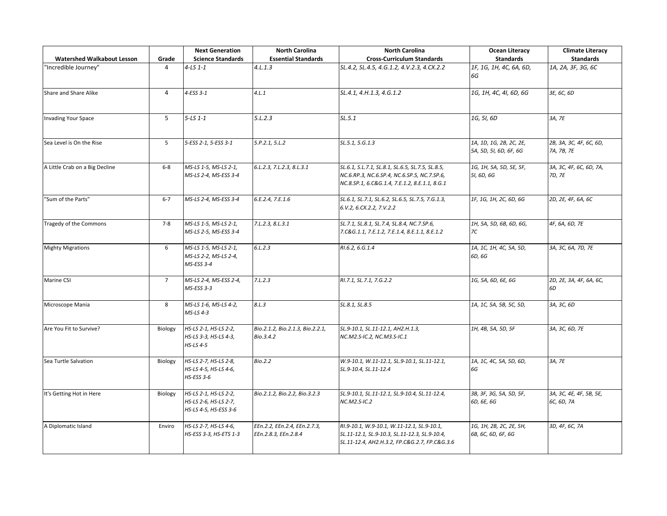|                                   |                | <b>Next Generation</b>                                                  | <b>North Carolina</b>                                | <b>North Carolina</b>                                                                                                                            | <b>Ocean Literacy</b>                             | <b>Climate Literacy</b>               |
|-----------------------------------|----------------|-------------------------------------------------------------------------|------------------------------------------------------|--------------------------------------------------------------------------------------------------------------------------------------------------|---------------------------------------------------|---------------------------------------|
| <b>Watershed Walkabout Lesson</b> | Grade          | <b>Science Standards</b>                                                | <b>Essential Standards</b>                           | <b>Cross-Curriculum Standards</b>                                                                                                                | <b>Standards</b>                                  | <b>Standards</b>                      |
| "Incredible Journey"              | 4              | $4 - LS 1 - 1$                                                          | 4.1.1.3                                              | SL.4.2, SL.4.5, 4.G.1.2, 4.V.2.3, 4.CX.2.2                                                                                                       | 1F, 1G, 1H, 4C, 6A, 6D,<br>6G                     | 1A, 2A, 3F, 3G, 6C                    |
| Share and Share Alike             | 4              | 4-ESS 3-1                                                               | 4.1.1                                                | SL.4.1, 4.H.1.3, 4.G.1.2                                                                                                                         | 1G, 1H, 4C, 4I, 6D, 6G                            | 3E, 6C, 6D                            |
| <b>Invading Your Space</b>        | 5              | $5 - LS$ 1-1                                                            | 5.1.2.3                                              | SL.5.1                                                                                                                                           | 1G, 5I, 6D                                        | 3A, 7E                                |
| Sea Level is On the Rise          | 5              | 5-ESS 2-1, 5-ESS 3-1                                                    | 5.P.2.1, 5.L.2                                       | SL.5.1, 5.G.1.3                                                                                                                                  | 1A, 1D, 1G, 2B, 2C, 2E,<br>5A, 5D, 5I, 6D, 6F, 6G | 2B, 3A, 3C, 4F, 6C, 6D,<br>7A, 7B, 7E |
| A Little Crab on a Big Decline    | $6-8$          | MS-LS 1-5, MS-LS 2-1,<br>MS-LS 2-4, MS-ESS 3-4                          | 6.L.2.3, 7.L.2.3, 8.L.3.1                            | SL.6.1, S.L.7.1, SL.8.1, SL.6.5, SL.7.5, SL.8.5,<br>NC.6.RP.3, NC.6.SP.4, NC.6.SP.5, NC.7.SP.6,<br>NC.8.SP.1, 6.C&G.1.4, 7.E.1.2, 8.E.1.1, 8.G.1 | 1G, 1H, 5A, 5D, 5E, 5F,<br>5I, 6D, 6G             | 3A, 3C, 4F, 6C, 6D, 7A,<br>7D, 7E     |
| "Sum of the Parts"                | $6 - 7$        | MS-LS 2-4, MS-ESS 3-4                                                   | 6.E.2.4, 7.E.1.6                                     | SL.6.1, SL.7.1, SL.6.2, SL.6.5, SL.7.5, 7.G.1.3,<br>6.V.2, 6.CX.2.2, 7.V.2.2                                                                     | 1F, 1G, 1H, 2C, 6D, 6G                            | 2D, 2E, 4F, 6A, 6C                    |
| Tragedy of the Commons            | $7 - 8$        | MS-LS 1-5, MS-LS 2-1,<br>MS-LS 2-5, MS-ESS 3-4                          | 7.L.2.3, 8.L.3.1                                     | SL.7.1, SL.8.1, SL.7.4, SL.8.4, NC.7.SP.6,<br>7.C&G.1.1, 7.E.1.2, 7.E.1.4, 8.E.1.1, 8.E.1.2                                                      | 1H, 5A, 5D, 6B, 6D, 6G,<br>7C                     | 4F, 6A, 6D, 7E                        |
| <b>Mighty Migrations</b>          | 6              | MS-LS 1-5, MS-LS 2-1,<br>MS-LS 2-2, MS-LS 2-4,<br>MS-ESS 3-4            | 6.1.2.3                                              | RI.6.2, 6.G.1.4                                                                                                                                  | 1A, 1C, 1H, 4C, 5A, 5D,<br>6D, 6G                 | 3A, 3C, 6A, 7D, 7E                    |
| Marine CSI                        | $\overline{7}$ | MS-LS 2-4, MS-ESS 2-4,<br>MS-ESS 3-3                                    | 7. L. 2.3                                            | RI.7.1, SL.7.1, 7.G.2.2                                                                                                                          | 1G, 5A, 6D, 6E, 6G                                | 2D, 2E, 3A, 4F, 6A, 6C,<br>6D         |
| Microscope Mania                  | 8              | MS-LS 1-6, MS-LS 4-2,<br>MS-LS 4-3                                      | 8.L.3                                                | SL.8.1, SL.8.5                                                                                                                                   | 1A, 1C, 5A, 5B, 5C, 5D,                           | 3A, 3C, 6D                            |
| Are You Fit to Survive?           | Biology        | HS-LS 2-1, HS-LS 2-2,<br>HS-LS 3-3, HS-LS 4-3,<br>$HS$ -LS 4-5          | Bio.2.1.2, Bio.2.1.3, Bio.2.2.1,<br>Bio.3.4.2        | SL.9-10.1, SL.11-12.1, AH2.H.1.3,<br>NC.M2.S-IC.2, NC.M3.S-IC.1                                                                                  | 1H, 4B, 5A, 5D, 5F                                | 3A, 3C, 6D, 7E                        |
| Sea Turtle Salvation              | Biology        | HS-LS 2-7, HS-LS 2-8,<br>HS-LS 4-5, HS-LS 4-6,<br>HS-ESS 3-6            | Bio.2.2                                              | W.9-10.1, W.11-12.1, SL.9-10.1, SL.11-12.1,<br>SL.9-10.4, SL.11-12.4                                                                             | 1A, 1C, 4C, 5A, 5D, 6D,<br>6G                     | 3A, 7E                                |
| It's Getting Hot in Here          | Biology        | HS-LS 2-1, HS-LS 2-2,<br>HS-LS 2-6, HS-LS 2-7,<br>HS-LS 4-5, HS-ESS 3-6 | Bio.2.1.2, Bio.2.2, Bio.3.2.3                        | SL.9-10.1, SL.11-12.1, SL.9-10.4, SL.11-12.4,<br>NC.M2.S-IC.2                                                                                    | 3B, 3F, 3G, 5A, 5D, 5F,<br>6D, 6E, 6G             | 3A, 3C, 4E, 4F, 5B, 5E,<br>6C, 6D, 7A |
| A Diplomatic Island               | Enviro         | HS-LS 2-7, HS-LS 4-6,<br>HS-ESS 3-3, HS-ETS 1-3                         | EEn.2.2, EEn.2.4, EEn.2.7.3,<br>EEn.2.8.3, EEn.2.8.4 | RI.9-10.1, W.9-10.1, W.11-12.1, SL.9-10.1,<br>SL.11-12.1, SL.9-10.3, SL.11-12.3, SL.9-10.4,<br>SL.11-12.4, AH2.H.3.2, FP.C&G.2.7, FP.C&G.3.6     | 1G, 1H, 2B, 2C, 2E, 5H,<br>6B, 6C, 6D, 6F, 6G     | 3D, 4F, 6C, 7A                        |